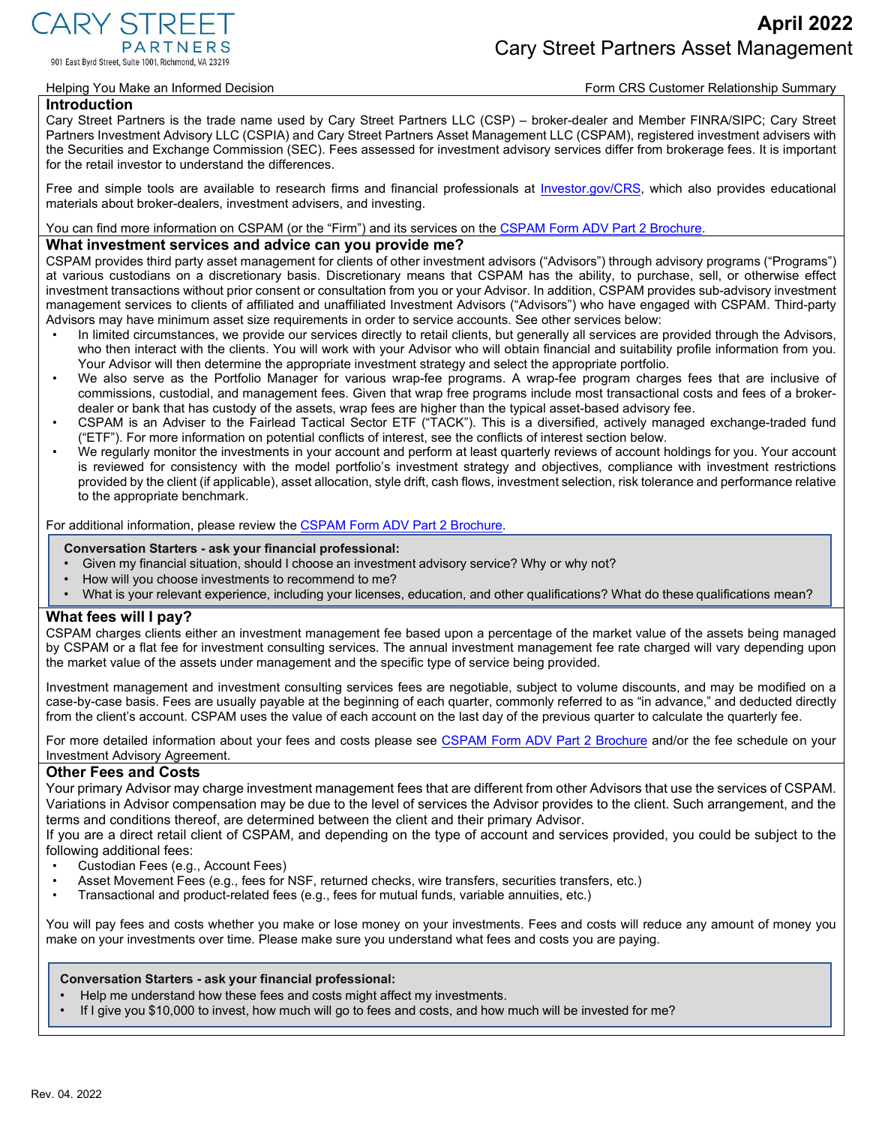CARY STREE 901 East Byrd Street, Suite 1001, Richmond, VA 23219

#### Helping You Make an Informed Decision **Form CRS Customer Relationship Summary** Form CRS Customer Relationship Summary

#### **Introduction**

Cary Street Partners is the trade name used by Cary Street Partners LLC (CSP) – broker-dealer and Member FINRA/SIPC; Cary Street Partners Investment Advisory LLC (CSPIA) and Cary Street Partners Asset Management LLC (CSPAM), registered investment advisers with the Securities and Exchange Commission (SEC). Fees assessed for investment advisory services differ from brokerage fees. It is important for the retail investor to understand the differences.

Free and simple tools are available to research firms and financial professionals at [Investor.gov/CRS, w](https://www.investor.gov/CRS)hich also provides educational materials about broker-dealers, investment advisers, and investing.

You can find more information on CSPAM (or the "Firm") and its services on the [CSPAM Form ADV Part 2 Brochure.](https://files.adviserinfo.sec.gov/IAPD/Content/Common/crd_iapd_Brochure.aspx?BRCHR_VRSN_ID=769900)

### **What investment services and advice can you provide me?**

CSPAM provides third party asset management for clients of other investment advisors ("Advisors") through advisory programs ("Programs") at various custodians on a discretionary basis. Discretionary means that CSPAM has the ability, to purchase, sell, or otherwise effect investment transactions without prior consent or consultation from you or your Advisor. In addition, CSPAM provides sub-advisory investment management services to clients of affiliated and unaffiliated Investment Advisors ("Advisors") who have engaged with CSPAM. Third-party Advisors may have minimum asset size requirements in order to service accounts. See other services below:

- In limited circumstances, we provide our services directly to retail clients, but generally all services are provided through the Advisors, who then interact with the clients. You will work with your Advisor who will obtain financial and suitability profile information from you. Your Advisor will then determine the appropriate investment strategy and select the appropriate portfolio.
- We also serve as the Portfolio Manager for various wrap-fee programs. A wrap-fee program charges fees that are inclusive of commissions, custodial, and management fees. Given that wrap free programs include most transactional costs and fees of a brokerdealer or bank that has custody of the assets, wrap fees are higher than the typical asset-based advisory fee.
- CSPAM is an Adviser to the Fairlead Tactical Sector ETF ("TACK"). This is a diversified, actively managed exchange-traded fund ("ETF"). For more information on potential conflicts of interest, see the conflicts of interest section below.
- We regularly monitor the investments in your account and perform at least quarterly reviews of account holdings for you. Your account is reviewed for consistency with the model portfolio's investment strategy and objectives, compliance with investment restrictions provided by the client (if applicable), asset allocation, style drift, cash flows, investment selection, risk tolerance and performance relative to the appropriate benchmark.

For additional information, please review th[e CSPAM Form ADV Part 2 Brochure.](https://files.adviserinfo.sec.gov/IAPD/Content/Common/crd_iapd_Brochure.aspx?BRCHR_VRSN_ID=769900)

#### **Conversation Starters - ask your financial professional:**

- Given my financial situation, should I choose an investment advisory service? Why or why not?
- How will you choose investments to recommend to me?
- What is your relevant experience, including your licenses, education, and other qualifications? What do these qualifications mean?

### **What fees will I pay?**

CSPAM charges clients either an investment management fee based upon a percentage of the market value of the assets being managed by CSPAM or a flat fee for investment consulting services. The annual investment management fee rate charged will vary depending upon the market value of the assets under management and the specific type of service being provided.

Investment management and investment consulting services fees are negotiable, subject to volume discounts, and may be modified on a case-by-case basis. Fees are usually payable at the beginning of each quarter, commonly referred to as "in advance," and deducted directly from the client's account. CSPAM uses the value of each account on the last day of the previous quarter to calculate the quarterly fee.

For more detailed information about your fees and costs please see [CSPAM Form ADV Part 2 Brochure](https://files.adviserinfo.sec.gov/IAPD/Content/Common/crd_iapd_Brochure.aspx?BRCHR_VRSN_ID=769900) and/or the fee schedule on your Investment Advisory Agreement.

#### **Other Fees and Costs**

Your primary Advisor may charge investment management fees that are different from other Advisors that use the services of CSPAM. Variations in Advisor compensation may be due to the level of services the Advisor provides to the client. Such arrangement, and the terms and conditions thereof, are determined between the client and their primary Advisor.

If you are a direct retail client of CSPAM, and depending on the type of account and services provided, you could be subject to the following additional fees:

- Custodian Fees (e.g., Account Fees)
- Asset Movement Fees (e.g., fees for NSF, returned checks, wire transfers, securities transfers, etc.)
- Transactional and product-related fees (e.g., fees for mutual funds, variable annuities, etc.)

You will pay fees and costs whether you make or lose money on your investments. Fees and costs will reduce any amount of money you make on your investments over time. Please make sure you understand what fees and costs you are paying.

#### **Conversation Starters - ask your financial professional:**

- Help me understand how these fees and costs might affect my investments.
- If I give you \$10,000 to invest, how much will go to fees and costs, and how much will be invested for me?